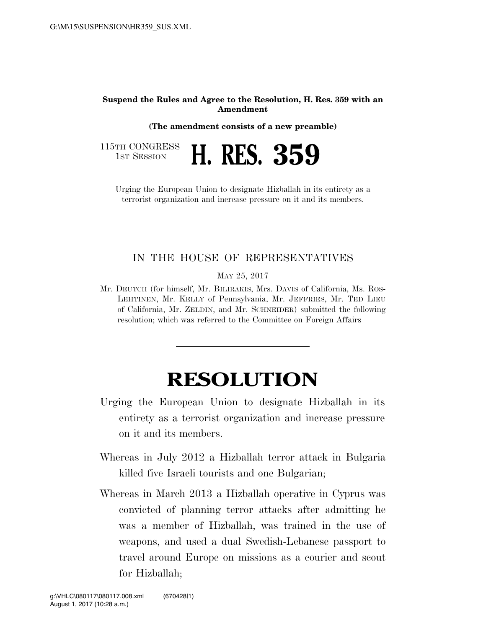## **Suspend the Rules and Agree to the Resolution, H. Res. 359 with an Amendment**

**(The amendment consists of a new preamble)** 

1ST SESSION **H. RES. 359** 

115TH CONGRESS<br>1st Session

Urging the European Union to designate Hizballah in its entirety as a terrorist organization and increase pressure on it and its members.

## IN THE HOUSE OF REPRESENTATIVES

MAY 25, 2017

Mr. DEUTCH (for himself, Mr. BILIRAKIS, Mrs. DAVIS of California, Ms. ROS-LEHTINEN, Mr. KELLY of Pennsylvania, Mr. JEFFRIES, Mr. TED LIEU of California, Mr. ZELDIN, and Mr. SCHNEIDER) submitted the following resolution; which was referred to the Committee on Foreign Affairs

## **RESOLUTION**

- Urging the European Union to designate Hizballah in its entirety as a terrorist organization and increase pressure on it and its members.
- Whereas in July 2012 a Hizballah terror attack in Bulgaria killed five Israeli tourists and one Bulgarian;
- Whereas in March 2013 a Hizballah operative in Cyprus was convicted of planning terror attacks after admitting he was a member of Hizballah, was trained in the use of weapons, and used a dual Swedish-Lebanese passport to travel around Europe on missions as a courier and scout for Hizballah;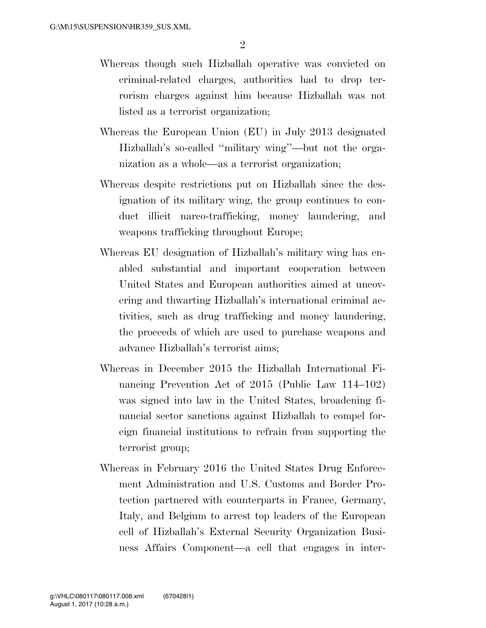- Whereas though such Hizballah operative was convicted on criminal-related charges, authorities had to drop terrorism charges against him because Hizballah was not listed as a terrorist organization;
- Whereas the European Union (EU) in July 2013 designated Hizballah's so-called ''military wing''—but not the organization as a whole—as a terrorist organization;
- Whereas despite restrictions put on Hizballah since the designation of its military wing, the group continues to conduct illicit narco-trafficking, money laundering, and weapons trafficking throughout Europe;
- Whereas EU designation of Hizballah's military wing has enabled substantial and important cooperation between United States and European authorities aimed at uncovering and thwarting Hizballah's international criminal activities, such as drug trafficking and money laundering, the proceeds of which are used to purchase weapons and advance Hizballah's terrorist aims;
- Whereas in December 2015 the Hizballah International Financing Prevention Act of 2015 (Public Law 114–102) was signed into law in the United States, broadening financial sector sanctions against Hizballah to compel foreign financial institutions to refrain from supporting the terrorist group;
- Whereas in February 2016 the United States Drug Enforcement Administration and U.S. Customs and Border Protection partnered with counterparts in France, Germany, Italy, and Belgium to arrest top leaders of the European cell of Hizballah's External Security Organization Business Affairs Component—a cell that engages in inter-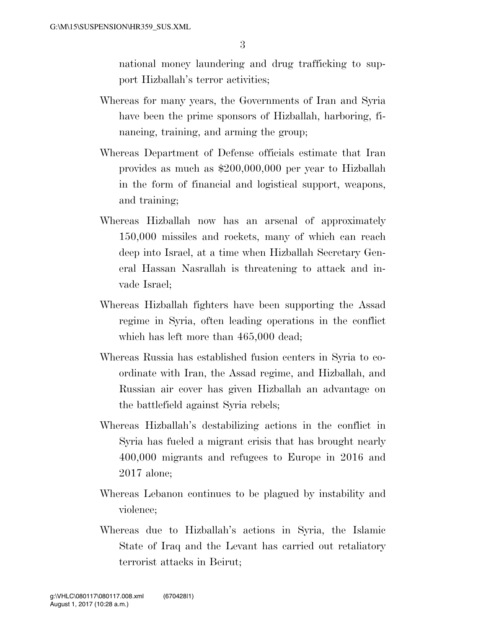national money laundering and drug trafficking to support Hizballah's terror activities;

- Whereas for many years, the Governments of Iran and Syria have been the prime sponsors of Hizballah, harboring, financing, training, and arming the group;
- Whereas Department of Defense officials estimate that Iran provides as much as \$200,000,000 per year to Hizballah in the form of financial and logistical support, weapons, and training;
- Whereas Hizballah now has an arsenal of approximately 150,000 missiles and rockets, many of which can reach deep into Israel, at a time when Hizballah Secretary General Hassan Nasrallah is threatening to attack and invade Israel;
- Whereas Hizballah fighters have been supporting the Assad regime in Syria, often leading operations in the conflict which has left more than  $465,000$  dead;
- Whereas Russia has established fusion centers in Syria to coordinate with Iran, the Assad regime, and Hizballah, and Russian air cover has given Hizballah an advantage on the battlefield against Syria rebels;
- Whereas Hizballah's destabilizing actions in the conflict in Syria has fueled a migrant crisis that has brought nearly 400,000 migrants and refugees to Europe in 2016 and 2017 alone;
- Whereas Lebanon continues to be plagued by instability and violence;
- Whereas due to Hizballah's actions in Syria, the Islamic State of Iraq and the Levant has carried out retaliatory terrorist attacks in Beirut;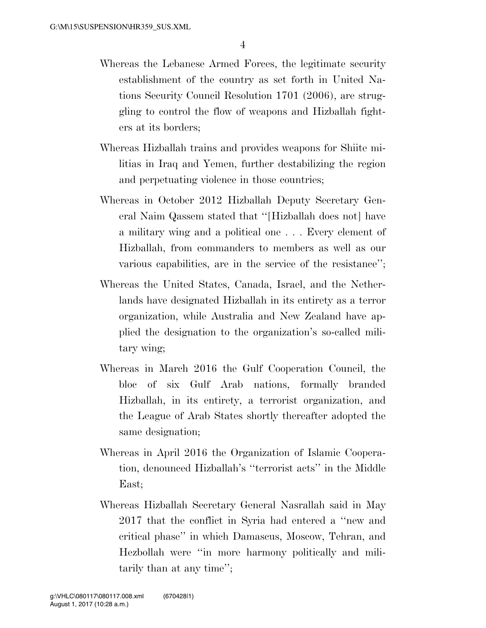- Whereas the Lebanese Armed Forces, the legitimate security establishment of the country as set forth in United Nations Security Council Resolution 1701 (2006), are struggling to control the flow of weapons and Hizballah fighters at its borders;
- Whereas Hizballah trains and provides weapons for Shiite militias in Iraq and Yemen, further destabilizing the region and perpetuating violence in those countries;
- Whereas in October 2012 Hizballah Deputy Secretary General Naim Qassem stated that ''[Hizballah does not] have a military wing and a political one . . . Every element of Hizballah, from commanders to members as well as our various capabilities, are in the service of the resistance'';
- Whereas the United States, Canada, Israel, and the Netherlands have designated Hizballah in its entirety as a terror organization, while Australia and New Zealand have applied the designation to the organization's so-called military wing;
- Whereas in March 2016 the Gulf Cooperation Council, the bloc of six Gulf Arab nations, formally branded Hizballah, in its entirety, a terrorist organization, and the League of Arab States shortly thereafter adopted the same designation;
- Whereas in April 2016 the Organization of Islamic Cooperation, denounced Hizballah's ''terrorist acts'' in the Middle East;
- Whereas Hizballah Secretary General Nasrallah said in May 2017 that the conflict in Syria had entered a ''new and critical phase'' in which Damascus, Moscow, Tehran, and Hezbollah were ''in more harmony politically and militarily than at any time'';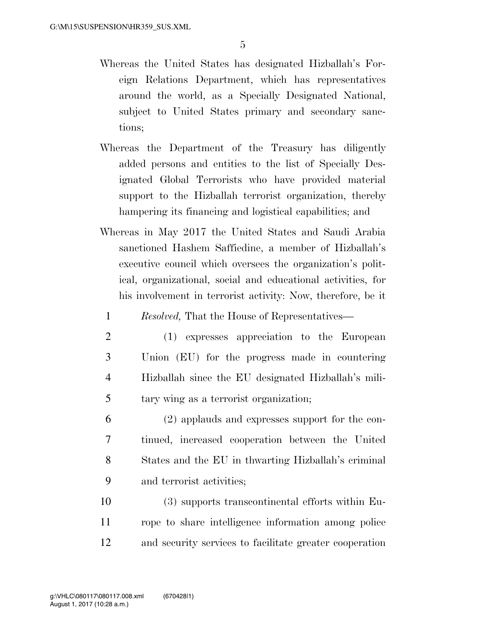- Whereas the United States has designated Hizballah's Foreign Relations Department, which has representatives around the world, as a Specially Designated National, subject to United States primary and secondary sanctions;
- Whereas the Department of the Treasury has diligently added persons and entities to the list of Specially Designated Global Terrorists who have provided material support to the Hizballah terrorist organization, thereby hampering its financing and logistical capabilities; and
- Whereas in May 2017 the United States and Saudi Arabia sanctioned Hashem Saffiedine, a member of Hizballah's executive council which oversees the organization's political, organizational, social and educational activities, for his involvement in terrorist activity: Now, therefore, be it

1 *Resolved,* That the House of Representatives—

- 2 (1) expresses appreciation to the European 3 Union (EU) for the progress made in countering 4 Hizballah since the EU designated Hizballah's mili-5 tary wing as a terrorist organization;
- 6 (2) applauds and expresses support for the con-7 tinued, increased cooperation between the United 8 States and the EU in thwarting Hizballah's criminal 9 and terrorist activities;

10 (3) supports transcontinental efforts within Eu-11 rope to share intelligence information among police 12 and security services to facilitate greater cooperation